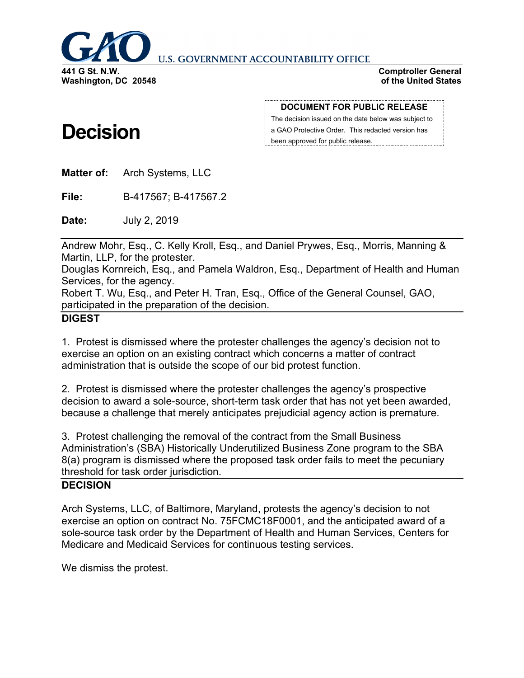

**U.S. GOVERNMENT ACCOUNTABILITY OFFICE** 

**Comptroller General of the United States**

# **Decision**

**DOCUMENT FOR PUBLIC RELEASE**

The decision issued on the date below was subject to a GAO Protective Order. This redacted version has been approved for public release.

**Matter of:** Arch Systems, LLC

**File:** B-417567; B-417567.2

**Date:** July 2, 2019

Andrew Mohr, Esq., C. Kelly Kroll, Esq., and Daniel Prywes, Esq., Morris, Manning & Martin, LLP, for the protester.

Douglas Kornreich, Esq., and Pamela Waldron, Esq., Department of Health and Human Services, for the agency.

Robert T. Wu, Esq., and Peter H. Tran, Esq., Office of the General Counsel, GAO, participated in the preparation of the decision.

## **DIGEST**

1. Protest is dismissed where the protester challenges the agency's decision not to exercise an option on an existing contract which concerns a matter of contract administration that is outside the scope of our bid protest function.

2. Protest is dismissed where the protester challenges the agency's prospective decision to award a sole-source, short-term task order that has not yet been awarded, because a challenge that merely anticipates prejudicial agency action is premature.

3. Protest challenging the removal of the contract from the Small Business Administration's (SBA) Historically Underutilized Business Zone program to the SBA 8(a) program is dismissed where the proposed task order fails to meet the pecuniary threshold for task order jurisdiction.

## **DECISION**

Arch Systems, LLC, of Baltimore, Maryland, protests the agency's decision to not exercise an option on contract No. 75FCMC18F0001, and the anticipated award of a sole-source task order by the Department of Health and Human Services, Centers for Medicare and Medicaid Services for continuous testing services.

We dismiss the protest.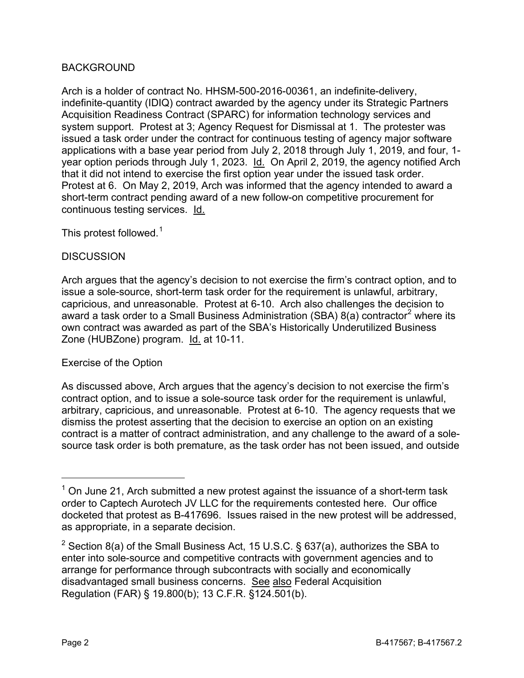### BACKGROUND

Arch is a holder of contract No. HHSM-500-2016-00361, an indefinite-delivery, indefinite-quantity (IDIQ) contract awarded by the agency under its Strategic Partners Acquisition Readiness Contract (SPARC) for information technology services and system support. Protest at 3; Agency Request for Dismissal at 1. The protester was issued a task order under the contract for continuous testing of agency major software applications with a base year period from July 2, 2018 through July 1, 2019, and four, 1 year option periods through July 1, 2023. Id. On April 2, 2019, the agency notified Arch that it did not intend to exercise the first option year under the issued task order. Protest at 6. On May 2, 2019, Arch was informed that the agency intended to award a short-term contract pending award of a new follow-on competitive procurement for continuous testing services. Id.

This protest followed. $1$ 

#### **DISCUSSION**

Arch argues that the agency's decision to not exercise the firm's contract option, and to issue a sole-source, short-term task order for the requirement is unlawful, arbitrary, capricious, and unreasonable. Protest at 6-10. Arch also challenges the decision to award a task order to a Small Business Administration (SBA)  $8(a)$  contractor<sup>[2](#page-1-1)</sup> where its own contract was awarded as part of the SBA's Historically Underutilized Business Zone (HUBZone) program. Id. at 10-11.

#### Exercise of the Option

As discussed above, Arch argues that the agency's decision to not exercise the firm's contract option, and to issue a sole-source task order for the requirement is unlawful, arbitrary, capricious, and unreasonable. Protest at 6-10. The agency requests that we dismiss the protest asserting that the decision to exercise an option on an existing contract is a matter of contract administration, and any challenge to the award of a solesource task order is both premature, as the task order has not been issued, and outside

<span id="page-1-0"></span> $1$  On June 21, Arch submitted a new protest against the issuance of a short-term task order to Captech Aurotech JV LLC for the requirements contested here. Our office docketed that protest as B-417696. Issues raised in the new protest will be addressed, as appropriate, in a separate decision.

<span id="page-1-1"></span><sup>&</sup>lt;sup>2</sup> Section 8(a) of the Small Business Act, 15 U.S.C. § 637(a), authorizes the SBA to enter into sole-source and competitive contracts with government agencies and to arrange for performance through subcontracts with socially and economically disadvantaged small business concerns. See also Federal Acquisition Regulation (FAR) § 19.800(b); 13 C.F.R. §124.501(b).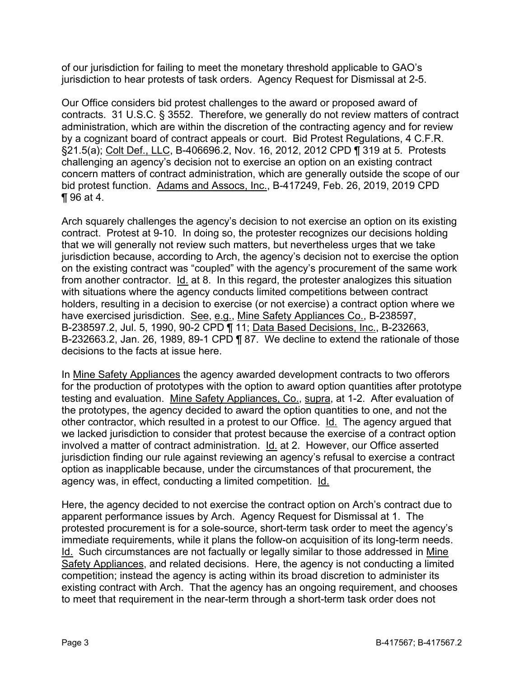of our jurisdiction for failing to meet the monetary threshold applicable to GAO's jurisdiction to hear protests of task orders. Agency Request for Dismissal at 2-5.

Our Office considers bid protest challenges to the award or proposed award of contracts. 31 U.S.C. § 3552. Therefore, we generally do not review matters of contract administration, which are within the discretion of the contracting agency and for review by a cognizant board of contract appeals or court. Bid Protest Regulations, 4 C.F.R. §21.5(a); Colt Def., LLC, B-406696.2, Nov. 16, 2012, 2012 CPD ¶ 319 at 5. Protests challenging an agency's decision not to exercise an option on an existing contract concern matters of contract administration, which are generally outside the scope of our bid protest function. Adams and Assocs, Inc., B-417249, Feb. 26, 2019, 2019 CPD ¶ 96 at 4.

Arch squarely challenges the agency's decision to not exercise an option on its existing contract. Protest at 9-10. In doing so, the protester recognizes our decisions holding that we will generally not review such matters, but nevertheless urges that we take jurisdiction because, according to Arch, the agency's decision not to exercise the option on the existing contract was "coupled" with the agency's procurement of the same work from another contractor. Id. at 8. In this regard, the protester analogizes this situation with situations where the agency conducts limited competitions between contract holders, resulting in a decision to exercise (or not exercise) a contract option where we have exercised jurisdiction. See, e.g., Mine Safety Appliances Co., B-238597, B-238597.2, Jul. 5, 1990, 90-2 CPD ¶ 11; Data Based Decisions, Inc., B-232663, B-232663.2, Jan. 26, 1989, 89-1 CPD ¶ 87. We decline to extend the rationale of those decisions to the facts at issue here.

In Mine Safety Appliances the agency awarded development contracts to two offerors for the production of prototypes with the option to award option quantities after prototype testing and evaluation. Mine Safety Appliances, Co., supra, at 1-2. After evaluation of the prototypes, the agency decided to award the option quantities to one, and not the other contractor, which resulted in a protest to our Office. Id. The agency argued that we lacked jurisdiction to consider that protest because the exercise of a contract option involved a matter of contract administration. Id. at 2. However, our Office asserted jurisdiction finding our rule against reviewing an agency's refusal to exercise a contract option as inapplicable because, under the circumstances of that procurement, the agency was, in effect, conducting a limited competition. Id.

Here, the agency decided to not exercise the contract option on Arch's contract due to apparent performance issues by Arch. Agency Request for Dismissal at 1. The protested procurement is for a sole-source, short-term task order to meet the agency's immediate requirements, while it plans the follow-on acquisition of its long-term needs. Id. Such circumstances are not factually or legally similar to those addressed in Mine Safety Appliances, and related decisions. Here, the agency is not conducting a limited competition; instead the agency is acting within its broad discretion to administer its existing contract with Arch. That the agency has an ongoing requirement, and chooses to meet that requirement in the near-term through a short-term task order does not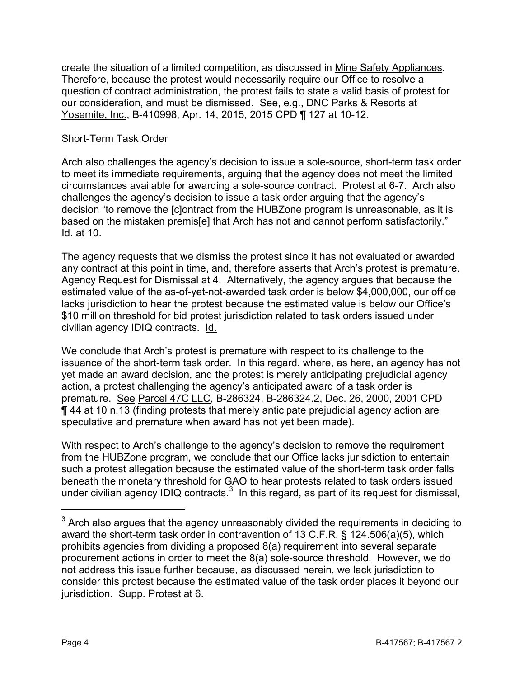create the situation of a limited competition, as discussed in Mine Safety Appliances. Therefore, because the protest would necessarily require our Office to resolve a question of contract administration, the protest fails to state a valid basis of protest for our consideration, and must be dismissed. See, e.g., DNC Parks & Resorts at Yosemite, Inc., B-410998, Apr. 14, 2015, 2015 CPD ¶ 127 at 10-12.

### Short-Term Task Order

Arch also challenges the agency's decision to issue a sole-source, short-term task order to meet its immediate requirements, arguing that the agency does not meet the limited circumstances available for awarding a sole-source contract. Protest at 6-7. Arch also challenges the agency's decision to issue a task order arguing that the agency's decision "to remove the [c]ontract from the HUBZone program is unreasonable, as it is based on the mistaken premis[e] that Arch has not and cannot perform satisfactorily." Id. at 10.

The agency requests that we dismiss the protest since it has not evaluated or awarded any contract at this point in time, and, therefore asserts that Arch's protest is premature. Agency Request for Dismissal at 4. Alternatively, the agency argues that because the estimated value of the as-of-yet-not-awarded task order is below \$4,000,000, our office lacks jurisdiction to hear the protest because the estimated value is below our Office's \$10 million threshold for bid protest jurisdiction related to task orders issued under civilian agency IDIQ contracts. Id.

We conclude that Arch's protest is premature with respect to its challenge to the issuance of the short-term task order. In this regard, where, as here, an agency has not yet made an award decision, and the protest is merely anticipating prejudicial agency action, a protest challenging the agency's anticipated award of a task order is premature. See Parcel 47C LLC, B-286324, B-286324.2, Dec. 26, 2000, 2001 CPD ¶ 44 at 10 n.13 (finding protests that merely anticipate prejudicial agency action are speculative and premature when award has not yet been made).

With respect to Arch's challenge to the agency's decision to remove the requirement from the HUBZone program, we conclude that our Office lacks jurisdiction to entertain such a protest allegation because the estimated value of the short-term task order falls beneath the monetary threshold for GAO to hear protests related to task orders issued under civilian agency IDIQ contracts. $3$  In this regard, as part of its request for dismissal,

<span id="page-3-0"></span> $3$  Arch also argues that the agency unreasonably divided the requirements in deciding to award the short-term task order in contravention of 13 C.F.R. § 124.506(a)(5), which prohibits agencies from dividing a proposed 8(a) requirement into several separate procurement actions in order to meet the 8(a) sole-source threshold. However, we do not address this issue further because, as discussed herein, we lack jurisdiction to consider this protest because the estimated value of the task order places it beyond our jurisdiction. Supp. Protest at 6.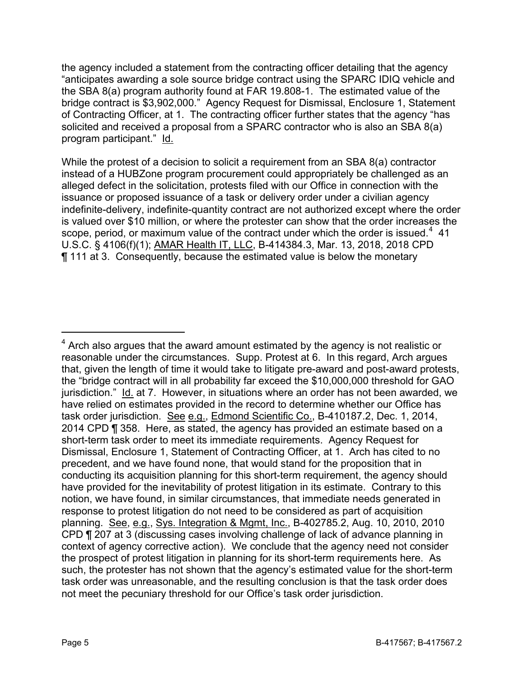the agency included a statement from the contracting officer detailing that the agency "anticipates awarding a sole source bridge contract using the SPARC IDIQ vehicle and the SBA 8(a) program authority found at FAR 19.808-1. The estimated value of the bridge contract is \$3,902,000." Agency Request for Dismissal, Enclosure 1, Statement of Contracting Officer, at 1. The contracting officer further states that the agency "has solicited and received a proposal from a SPARC contractor who is also an SBA 8(a) program participant." Id.

While the protest of a decision to solicit a requirement from an SBA 8(a) contractor instead of a HUBZone program procurement could appropriately be challenged as an alleged defect in the solicitation, protests filed with our Office in connection with the issuance or proposed issuance of a task or delivery order under a civilian agency indefinite-delivery, indefinite-quantity contract are not authorized except where the order is valued over \$10 million, or where the protester can show that the order increases the scope, period, or maximum value of the contract under which the order is issued. $4$  41 U.S.C. § 4106(f)(1); AMAR Health IT, LLC, B-414384.3, Mar. 13, 2018, 2018 CPD ¶ 111 at 3. Consequently, because the estimated value is below the monetary

<span id="page-4-0"></span> $4$  Arch also argues that the award amount estimated by the agency is not realistic or reasonable under the circumstances. Supp. Protest at 6. In this regard, Arch argues that, given the length of time it would take to litigate pre-award and post-award protests, the "bridge contract will in all probability far exceed the \$10,000,000 threshold for GAO jurisdiction." Id. at 7. However, in situations where an order has not been awarded, we have relied on estimates provided in the record to determine whether our Office has task order jurisdiction. See e.g., Edmond Scientific Co., B-410187.2, Dec. 1, 2014, 2014 CPD ¶ 358. Here, as stated, the agency has provided an estimate based on a short-term task order to meet its immediate requirements. Agency Request for Dismissal, Enclosure 1, Statement of Contracting Officer, at 1. Arch has cited to no precedent, and we have found none, that would stand for the proposition that in conducting its acquisition planning for this short-term requirement, the agency should have provided for the inevitability of protest litigation in its estimate. Contrary to this notion, we have found, in similar circumstances, that immediate needs generated in response to protest litigation do not need to be considered as part of acquisition planning. See, e.g., Sys. Integration & Mgmt, Inc., B-402785.2, Aug. 10, 2010, 2010 CPD ¶ 207 at 3 (discussing cases involving challenge of lack of advance planning in context of agency corrective action). We conclude that the agency need not consider the prospect of protest litigation in planning for its short-term requirements here. As such, the protester has not shown that the agency's estimated value for the short-term task order was unreasonable, and the resulting conclusion is that the task order does not meet the pecuniary threshold for our Office's task order jurisdiction.